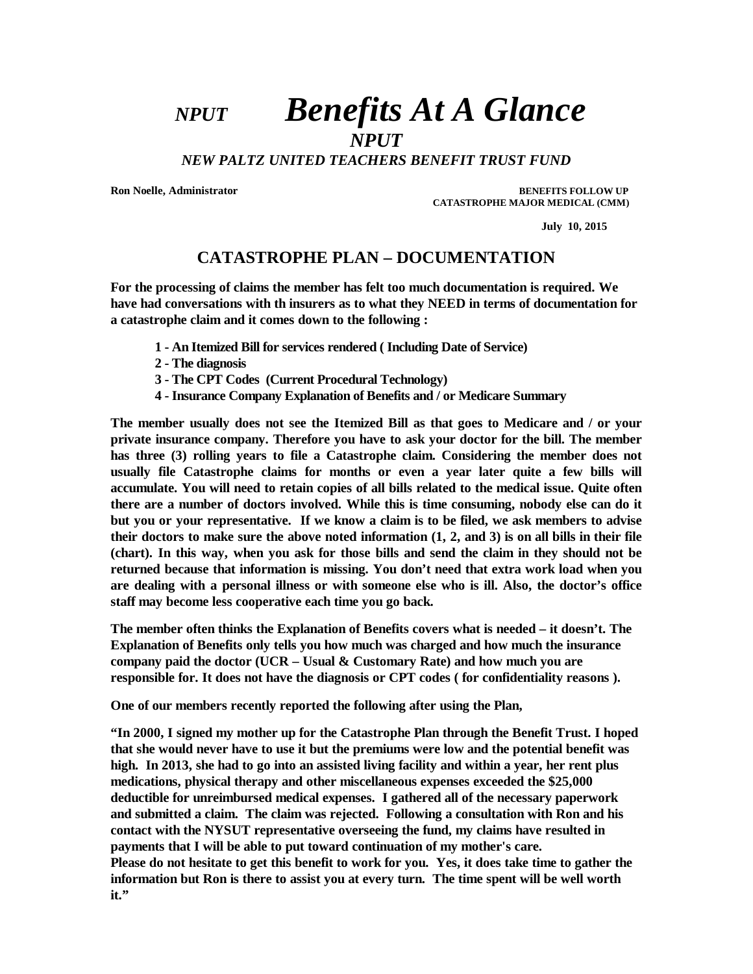# *NPUT Benefits At A Glance*

*NPUT*

## *NEW PALTZ UNITED TEACHERS BENEFIT TRUST FUND*

**Ron Noelle, Administrator BENEFITS FOLLOW UP CATASTROPHE MAJOR MEDICAL (CMM)** 

 **July 10, 2015** 

## **CATASTROPHE PLAN – DOCUMENTATION**

**For the processing of claims the member has felt too much documentation is required. We have had conversations with th insurers as to what they NEED in terms of documentation for a catastrophe claim and it comes down to the following :** 

- **1 An Itemized Bill for services rendered ( Including Date of Service)**
- **2 The diagnosis**
- **3 The CPT Codes (Current Procedural Technology)**
- **4 Insurance Company Explanation of Benefits and / or Medicare Summary**

**The member usually does not see the Itemized Bill as that goes to Medicare and / or your private insurance company. Therefore you have to ask your doctor for the bill. The member has three (3) rolling years to file a Catastrophe claim. Considering the member does not usually file Catastrophe claims for months or even a year later quite a few bills will accumulate. You will need to retain copies of all bills related to the medical issue. Quite often there are a number of doctors involved. While this is time consuming, nobody else can do it but you or your representative. If we know a claim is to be filed, we ask members to advise their doctors to make sure the above noted information (1, 2, and 3) is on all bills in their file (chart). In this way, when you ask for those bills and send the claim in they should not be returned because that information is missing. You don't need that extra work load when you are dealing with a personal illness or with someone else who is ill. Also, the doctor's office staff may become less cooperative each time you go back.** 

**The member often thinks the Explanation of Benefits covers what is needed – it doesn't. The Explanation of Benefits only tells you how much was charged and how much the insurance company paid the doctor (UCR – Usual & Customary Rate) and how much you are responsible for. It does not have the diagnosis or CPT codes ( for confidentiality reasons ).** 

**One of our members recently reported the following after using the Plan,** 

**"In 2000, I signed my mother up for the Catastrophe Plan through the Benefit Trust. I hoped that she would never have to use it but the premiums were low and the potential benefit was high. In 2013, she had to go into an assisted living facility and within a year, her rent plus medications, physical therapy and other miscellaneous expenses exceeded the \$25,000 deductible for unreimbursed medical expenses. I gathered all of the necessary paperwork and submitted a claim. The claim was rejected. Following a consultation with Ron and his contact with the NYSUT representative overseeing the fund, my claims have resulted in payments that I will be able to put toward continuation of my mother's care.** 

**Please do not hesitate to get this benefit to work for you. Yes, it does take time to gather the information but Ron is there to assist you at every turn. The time spent will be well worth it."**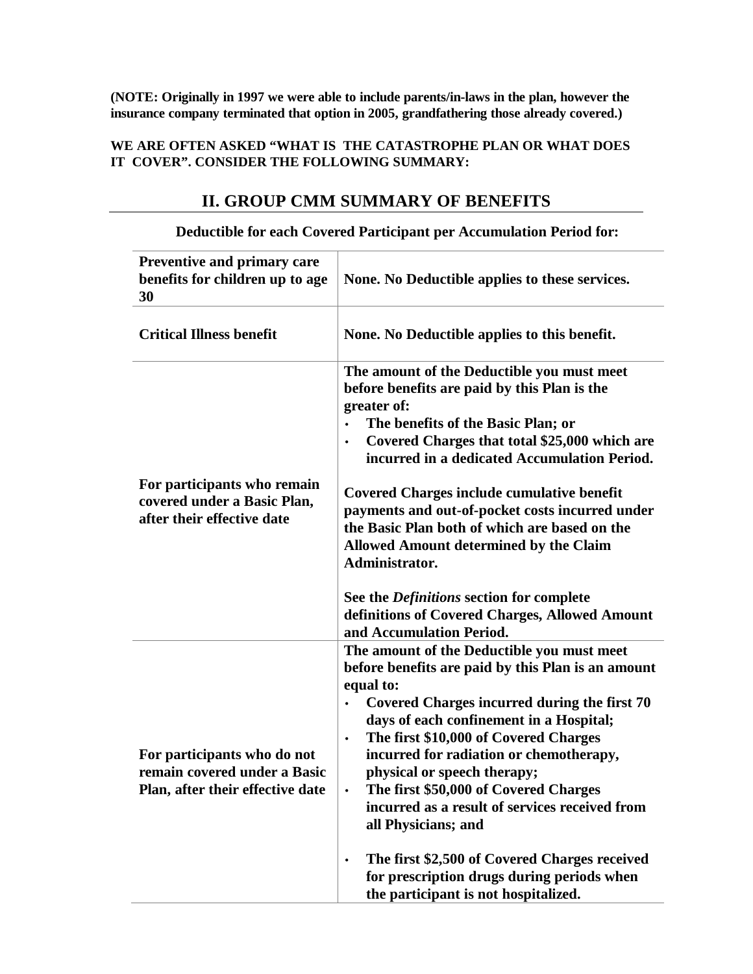**(NOTE: Originally in 1997 we were able to include parents/in-laws in the plan, however the insurance company terminated that option in 2005, grandfathering those already covered.)** 

## **WE ARE OFTEN ASKED "WHAT IS THE CATASTROPHE PLAN OR WHAT DOES IT COVER". CONSIDER THE FOLLOWING SUMMARY:**

**II. GROUP CMM SUMMARY OF BENEFITS** 

## **Preventive and primary care benefits for children up to age 30 None. No Deductible applies to these services.**  Critical Illness benefit None. No Deductible applies to this benefit. **For participants who remain covered under a Basic Plan, after their effective date The amount of the Deductible you must meet before benefits are paid by this Plan is the greater of:**  • **The benefits of the Basic Plan; or**  • **Covered Charges that total \$25,000 which are incurred in a dedicated Accumulation Period. Covered Charges include cumulative benefit payments and out-of-pocket costs incurred under the Basic Plan both of which are based on the Allowed Amount determined by the Claim Administrator. See the** *Definitions* **section for complete definitions of Covered Charges, Allowed Amount and Accumulation Period. For participants who do not remain covered under a Basic Plan, after their effective date The amount of the Deductible you must meet before benefits are paid by this Plan is an amount equal to:**  • **Covered Charges incurred during the first 70 days of each confinement in a Hospital;**  • **The first \$10,000 of Covered Charges incurred for radiation or chemotherapy, physical or speech therapy;**  • **The first \$50,000 of Covered Charges incurred as a result of services received from all Physicians; and**  • **The first \$2,500 of Covered Charges received**

**for prescription drugs during periods when** 

**the participant is not hospitalized.** 

# **Deductible for each Covered Participant per Accumulation Period for:**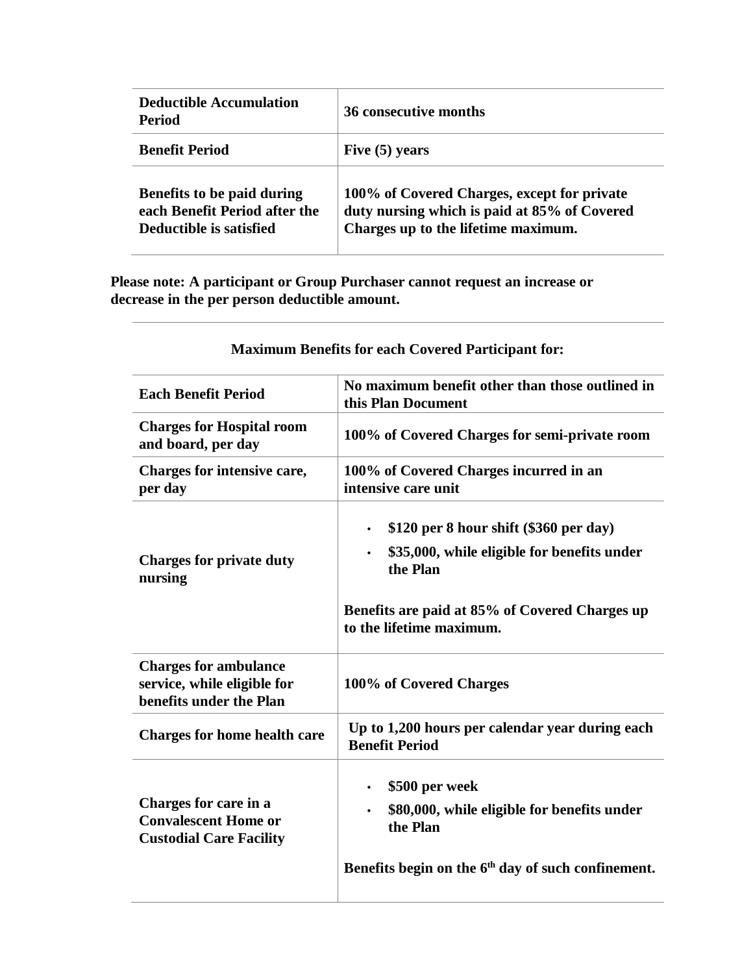| <b>Deductible Accumulation</b><br>Period                                               | 36 consecutive months                                                                                                              |
|----------------------------------------------------------------------------------------|------------------------------------------------------------------------------------------------------------------------------------|
| <b>Benefit Period</b>                                                                  | Five $(5)$ years                                                                                                                   |
| Benefits to be paid during<br>each Benefit Period after the<br>Deductible is satisfied | 100% of Covered Charges, except for private<br>duty nursing which is paid at 85% of Covered<br>Charges up to the lifetime maximum. |

**Please note: A participant or Group Purchaser cannot request an increase or decrease in the per person deductible amount.** 

| <b>Each Benefit Period</b>                                                             | No maximum benefit other than those outlined in<br>this Plan Document                                                                                                                          |
|----------------------------------------------------------------------------------------|------------------------------------------------------------------------------------------------------------------------------------------------------------------------------------------------|
| <b>Charges for Hospital room</b><br>and board, per day                                 | 100% of Covered Charges for semi-private room                                                                                                                                                  |
| Charges for intensive care,<br>per day                                                 | 100% of Covered Charges incurred in an<br>intensive care unit                                                                                                                                  |
| <b>Charges for private duty</b><br>nursing                                             | \$120 per 8 hour shift $(\$360$ per day)<br>$\bullet$<br>\$35,000, while eligible for benefits under<br>the Plan<br>Benefits are paid at 85% of Covered Charges up<br>to the lifetime maximum. |
| <b>Charges for ambulance</b><br>service, while eligible for<br>benefits under the Plan | 100% of Covered Charges                                                                                                                                                                        |
| <b>Charges for home health care</b>                                                    | Up to 1,200 hours per calendar year during each<br><b>Benefit Period</b>                                                                                                                       |
| Charges for care in a<br><b>Convalescent Home or</b><br><b>Custodial Care Facility</b> | \$500 per week<br>\$80,000, while eligible for benefits under<br>the Plan<br>Benefits begin on the 6 <sup>th</sup> day of such confinement.                                                    |

## **Maximum Benefits for each Covered Participant for:**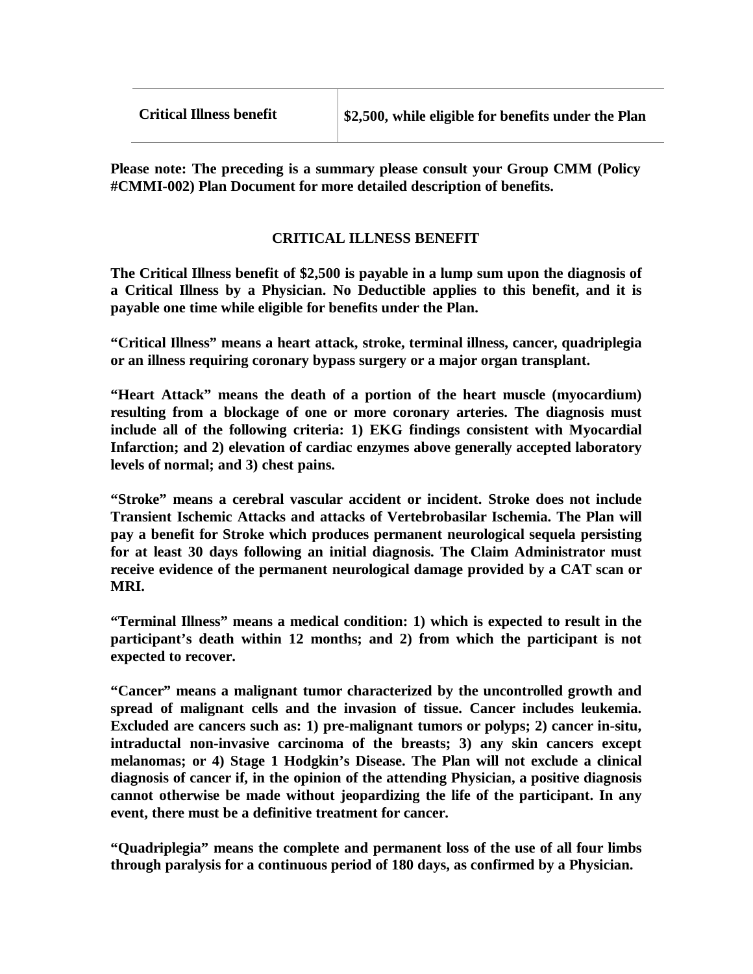**Please note: The preceding is a summary please consult your Group CMM (Policy #CMMI-002) Plan Document for more detailed description of benefits.** 

## **CRITICAL ILLNESS BENEFIT**

**The Critical Illness benefit of \$2,500 is payable in a lump sum upon the diagnosis of a Critical Illness by a Physician. No Deductible applies to this benefit, and it is payable one time while eligible for benefits under the Plan.** 

**"Critical Illness" means a heart attack, stroke, terminal illness, cancer, quadriplegia or an illness requiring coronary bypass surgery or a major organ transplant.** 

**"Heart Attack" means the death of a portion of the heart muscle (myocardium) resulting from a blockage of one or more coronary arteries. The diagnosis must include all of the following criteria: 1) EKG findings consistent with Myocardial Infarction; and 2) elevation of cardiac enzymes above generally accepted laboratory levels of normal; and 3) chest pains.** 

**"Stroke" means a cerebral vascular accident or incident. Stroke does not include Transient Ischemic Attacks and attacks of Vertebrobasilar Ischemia. The Plan will pay a benefit for Stroke which produces permanent neurological sequela persisting for at least 30 days following an initial diagnosis. The Claim Administrator must receive evidence of the permanent neurological damage provided by a CAT scan or MRI.** 

**"Terminal Illness" means a medical condition: 1) which is expected to result in the participant's death within 12 months; and 2) from which the participant is not expected to recover.** 

**"Cancer" means a malignant tumor characterized by the uncontrolled growth and spread of malignant cells and the invasion of tissue. Cancer includes leukemia. Excluded are cancers such as: 1) pre-malignant tumors or polyps; 2) cancer in-situ, intraductal non-invasive carcinoma of the breasts; 3) any skin cancers except melanomas; or 4) Stage 1 Hodgkin's Disease. The Plan will not exclude a clinical diagnosis of cancer if, in the opinion of the attending Physician, a positive diagnosis cannot otherwise be made without jeopardizing the life of the participant. In any event, there must be a definitive treatment for cancer.** 

**"Quadriplegia" means the complete and permanent loss of the use of all four limbs through paralysis for a continuous period of 180 days, as confirmed by a Physician.**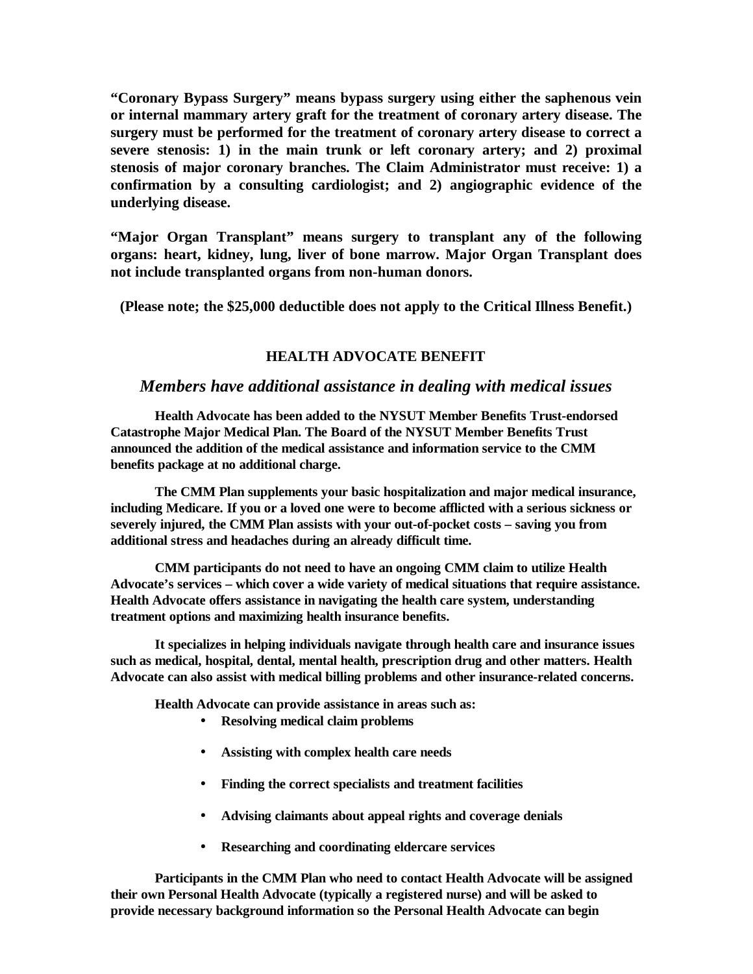**"Coronary Bypass Surgery" means bypass surgery using either the saphenous vein or internal mammary artery graft for the treatment of coronary artery disease. The surgery must be performed for the treatment of coronary artery disease to correct a severe stenosis: 1) in the main trunk or left coronary artery; and 2) proximal stenosis of major coronary branches. The Claim Administrator must receive: 1) a confirmation by a consulting cardiologist; and 2) angiographic evidence of the underlying disease.** 

**"Major Organ Transplant" means surgery to transplant any of the following organs: heart, kidney, lung, liver of bone marrow. Major Organ Transplant does not include transplanted organs from non-human donors.** 

**(Please note; the \$25,000 deductible does not apply to the Critical Illness Benefit.)** 

## **HEALTH ADVOCATE BENEFIT**

#### *Members have additional assistance in dealing with medical issues*

**Health Advocate has been added to the NYSUT Member Benefits Trust-endorsed Catastrophe Major Medical Plan. The Board of the NYSUT Member Benefits Trust announced the addition of the medical assistance and information service to the CMM benefits package at no additional charge.** 

**The CMM Plan supplements your basic hospitalization and major medical insurance, including Medicare. If you or a loved one were to become afflicted with a serious sickness or severely injured, the CMM Plan assists with your out-of-pocket costs – saving you from additional stress and headaches during an already difficult time.** 

**CMM participants do not need to have an ongoing CMM claim to utilize Health Advocate's services – which cover a wide variety of medical situations that require assistance. Health Advocate offers assistance in navigating the health care system, understanding treatment options and maximizing health insurance benefits.** 

**It specializes in helping individuals navigate through health care and insurance issues such as medical, hospital, dental, mental health, prescription drug and other matters. Health Advocate can also assist with medical billing problems and other insurance-related concerns.** 

**Health Advocate can provide assistance in areas such as:** 

- **Resolving medical claim problems**
- **Assisting with complex health care needs**
- **Finding the correct specialists and treatment facilities**
- **Advising claimants about appeal rights and coverage denials**
- **Researching and coordinating eldercare services**

**Participants in the CMM Plan who need to contact Health Advocate will be assigned their own Personal Health Advocate (typically a registered nurse) and will be asked to provide necessary background information so the Personal Health Advocate can begin**